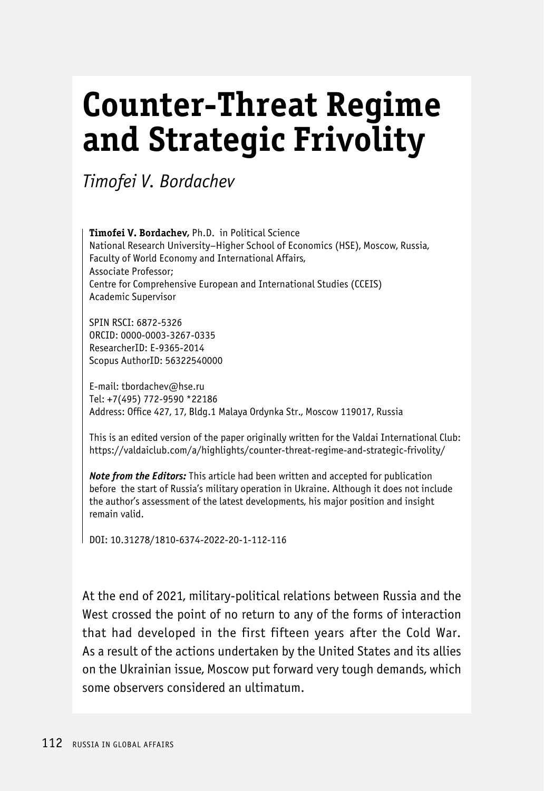## **Counter-Threat Regime and Strategic Frivolity**

*Timofei V. Bordachev*

**Timofei V. Bordachev,** Ph.D. in Political Science National Research University–Higher School of Economics (HSE), Moscow, Russia, Faculty of World Economy and International Affairs, Associate Professor; Centre for Comprehensive European and International Studies (CCEIS) Academic Supervisor

SPIN RSCI: 6872-5326 ORCID: 0000-0003-3267-0335 ResearcherID: E-9365-2014 Scopus AuthorID: 56322540000

E-mail: tbordachev@hse.ru Tel: +7(495) 772-9590 \*22186 Address: Office 427, 17, Bldg.1 Malaya Ordynka Str., Moscow 119017, Russia

This is an edited version of the paper originally written for the Valdai International Club: https://valdaiclub.com/a/highlights/counter-threat-regime-and-strategic-frivolity/

*Note from the Editors:* This article had been written and accepted for publication before the start of Russia's military operation in Ukraine. Although it does not include the author's assessment of the latest developments, his major position and insight remain valid.

DOI: 10.31278/1810-6374-2022-20-1-112-116

At the end of 2021, military-political relations between Russia and the West crossed the point of no return to any of the forms of interaction that had developed in the first fifteen years after the Cold War. As a result of the actions undertaken by the United States and its allies on the Ukrainian issue, Moscow put forward very tough demands, which some observers considered an ultimatum.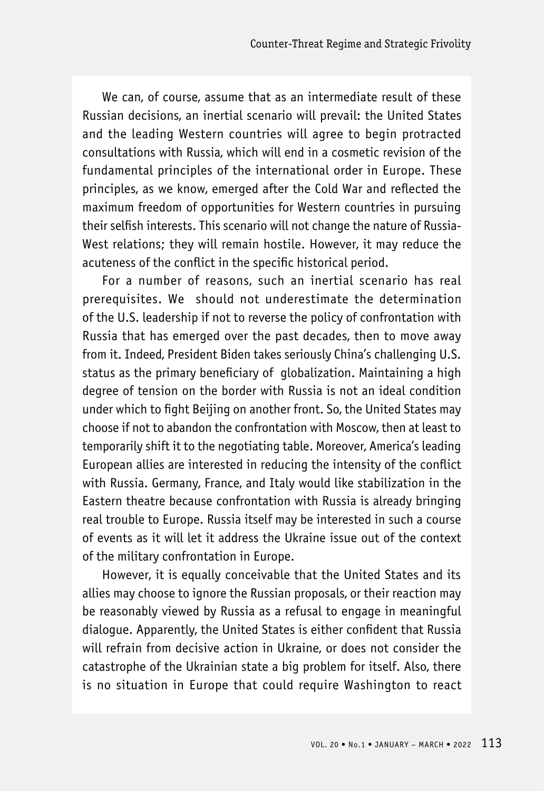We can, of course, assume that as an intermediate result of these Russian decisions, an inertial scenario will prevail: the United States and the leading Western countries will agree to begin protracted consultations with Russia, which will end in a cosmetic revision of the fundamental principles of the international order in Europe. These principles, as we know, emerged after the Cold War and reflected the maximum freedom of opportunities for Western countries in pursuing their selfish interests. This scenario will not change the nature of Russia-West relations; they will remain hostile. However, it may reduce the acuteness of the conflict in the specific historical period.

For a number of reasons, such an inertial scenario has real prerequisites. We should not underestimate the determination of the U.S. leadership if not to reverse the policy of confrontation with Russia that has emerged over the past decades, then to move away from it. Indeed, President Biden takes seriously China's challenging U.S. status as the primary beneficiary of globalization. Maintaining a high degree of tension on the border with Russia is not an ideal condition under which to fight Beijing on another front. So, the United States may choose if not to abandon the confrontation with Moscow, then at least to temporarily shift it to the negotiating table. Moreover, America's leading European allies are interested in reducing the intensity of the conflict with Russia. Germany, France, and Italy would like stabilization in the Eastern theatre because confrontation with Russia is already bringing real trouble to Europe. Russia itself may be interested in such a course of events as it will let it address the Ukraine issue out of the context of the military confrontation in Europe.

However, it is equally conceivable that the United States and its allies may choose to ignore the Russian proposals, or their reaction may be reasonably viewed by Russia as a refusal to engage in meaningful dialogue. Apparently, the United States is either confident that Russia will refrain from decisive action in Ukraine, or does not consider the catastrophe of the Ukrainian state a big problem for itself. Also, there is no situation in Europe that could require Washington to react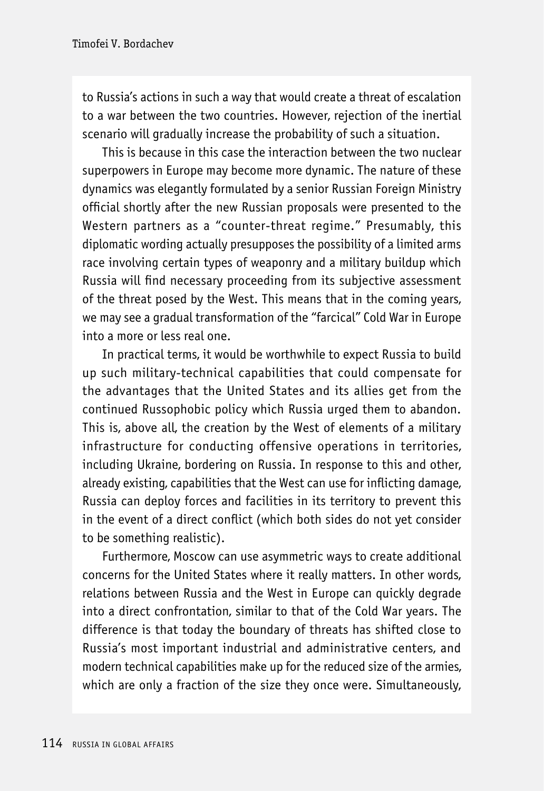to Russia's actions in such a way that would create a threat of escalation to a war between the two countries. However, rejection of the inertial scenario will gradually increase the probability of such a situation.

This is because in this case the interaction between the two nuclear superpowers in Europe may become more dynamic. The nature of these dynamics was elegantly formulated by a senior Russian Foreign Ministry official shortly after the new Russian proposals were presented to the Western partners as a "counter-threat regime." Presumably, this diplomatic wording actually presupposes the possibility of a limited arms race involving certain types of weaponry and a military buildup which Russia will find necessary proceeding from its subjective assessment of the threat posed by the West. This means that in the coming years, we may see a gradual transformation of the "farcical" Cold War in Europe into a more or less real one.

In practical terms, it would be worthwhile to expect Russia to build up such military-technical capabilities that could compensate for the advantages that the United States and its allies get from the continued Russophobic policy which Russia urged them to abandon. This is, above all, the creation by the West of elements of a military infrastructure for conducting offensive operations in territories, including Ukraine, bordering on Russia. In response to this and other, already existing, capabilities that the West can use for inflicting damage, Russia can deploy forces and facilities in its territory to prevent this in the event of a direct conflict (which both sides do not yet consider to be something realistic).

Furthermore, Moscow can use asymmetric ways to create additional concerns for the United States where it really matters. In other words, relations between Russia and the West in Europe can quickly degrade into a direct confrontation, similar to that of the Cold War years. The difference is that today the boundary of threats has shifted close to Russia's most important industrial and administrative centers, and modern technical capabilities make up for the reduced size of the armies, which are only a fraction of the size they once were. Simultaneously,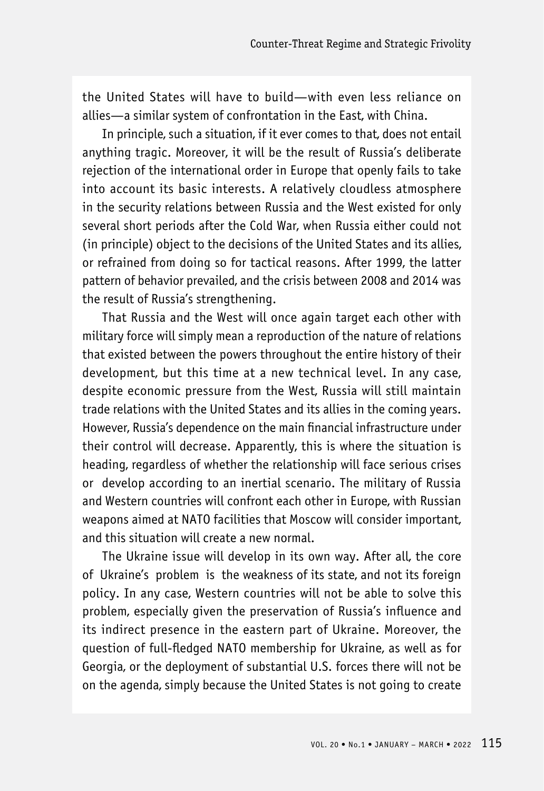the United States will have to build—with even less reliance on allies—a similar system of confrontation in the East, with China.

In principle, such a situation, if it ever comes to that, does not entail anything tragic. Moreover, it will be the result of Russia's deliberate rejection of the international order in Europe that openly fails to take into account its basic interests. A relatively cloudless atmosphere in the security relations between Russia and the West existed for only several short periods after the Cold War, when Russia either could not (in principle) object to the decisions of the United States and its allies, or refrained from doing so for tactical reasons. After 1999, the latter pattern of behavior prevailed, and the crisis between 2008 and 2014 was the result of Russia's strengthening.

That Russia and the West will once again target each other with military force will simply mean a reproduction of the nature of relations that existed between the powers throughout the entire history of their development, but this time at a new technical level. In any case, despite economic pressure from the West, Russia will still maintain trade relations with the United States and its allies in the coming years. However, Russia's dependence on the main financial infrastructure under their control will decrease. Apparently, this is where the situation is heading, regardless of whether the relationship will face serious crises or develop according to an inertial scenario. The military of Russia and Western countries will confront each other in Europe, with Russian weapons aimed at NATO facilities that Moscow will consider important, and this situation will create a new normal.

The Ukraine issue will develop in its own way. After all, the core of Ukraine's problem is the weakness of its state, and not its foreign policy. In any case, Western countries will not be able to solve this problem, especially given the preservation of Russia's influence and its indirect presence in the eastern part of Ukraine. Moreover, the question of full-fledged NATO membership for Ukraine, as well as for Georgia, or the deployment of substantial U.S. forces there will not be on the agenda, simply because the United States is not going to create